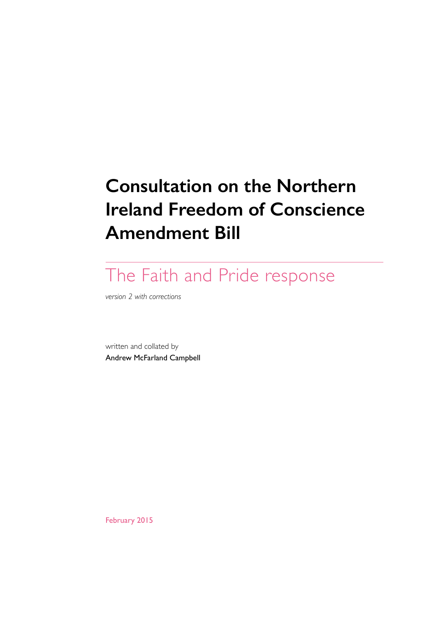# **Consultation on the Northern Ireland Freedom of Conscience Amendment Bill**

# The Faith and Pride response

*version 2 with corrections*

written and collated by Andrew McFarland Campbell

February 2015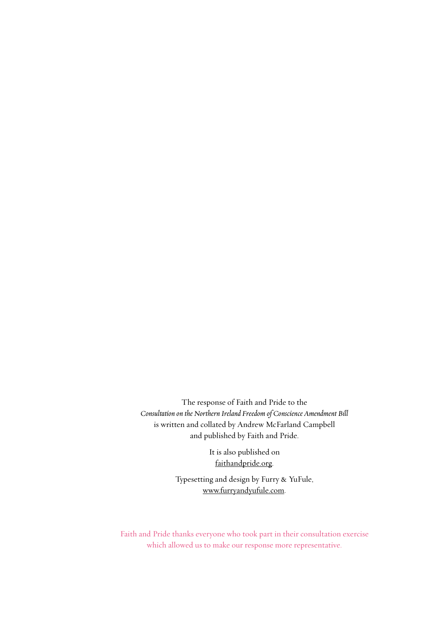The response of Faith and Pride to the Consultation on the Northern Ireland Freedom of Conscience Amendment Bill is written and collated by Andrew McFarland Campbell and published by Faith and Pride.

> It is also published on [faithandpride.org](http://faithandpride.org).

Typesetting and design by Furry & YuFule, [www.furryandyufule.com.](http://www.furryandyufule.com)

Faith and Pride thanks everyone who took part in their consultation exercise which allowed us to make our response more representative.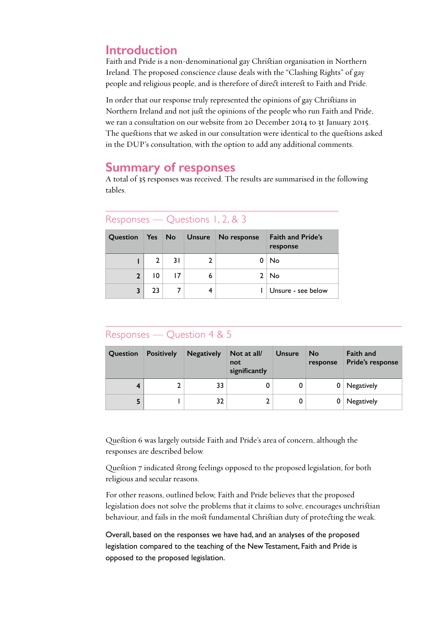## **Introduction**

Faith and Pride is a non-denominational gay Christian organisation in Northern Ireland. The proposed conscience clause deals with the "Clashing Rights" of gay people and religious people, and is therefore of direct interest to Faith and Pride.

In order that our response truly represented the opinions of gay Christians in Northern Ireland and not just the opinions of the people who run Faith and Pride, we ran a consultation on our website from 20 December 2014 to 31 January 2015. The questions that we asked in our consultation were identical to the questions asked in the DUP's consultation, with the option to add any additional comments.

## **Summary of responses**

A total of 35 responses was received. The results are summarised in the following tables.

```
Responses — Questions 1, 2, & 3
```

| <b>Question</b> | Yes No |    | <b>Unsure</b> | No response | <b>Faith and Pride's</b><br>response |
|-----------------|--------|----|---------------|-------------|--------------------------------------|
|                 |        | 31 |               |             | No                                   |
| $\overline{2}$  | 10     |    | 6             |             | No                                   |
| 3               | 23     |    |               |             | Unsure - see below                   |

## Responses — Question 4 & 5

| Question | <b>Positively</b> | <b>Negatively</b> | Not at all/<br>not<br>significantly | <b>Unsure</b> | <b>No</b><br>response | Faith and<br>Pride's response |
|----------|-------------------|-------------------|-------------------------------------|---------------|-----------------------|-------------------------------|
| 4        |                   | 33                |                                     |               | 0                     | Negatively                    |
| 5        |                   | 32                |                                     |               |                       | Negatively                    |

Question 6 was largely outside Faith and Pride's area of concern, although the responses are described below.

Question 7 indicated strong feelings opposed to the proposed legislation, for both religious and secular reasons.

For other reasons, outlined below, Faith and Pride believes that the proposed legislation does not solve the problems that it claims to solve, encourages unchrisian behaviour, and fails in the most fundamental Christian duty of protecting the weak.

Overall, based on the responses we have had, and an analyses of the proposed legislation compared to the teaching of the New Testament, Faith and Pride is opposed to the proposed legislation.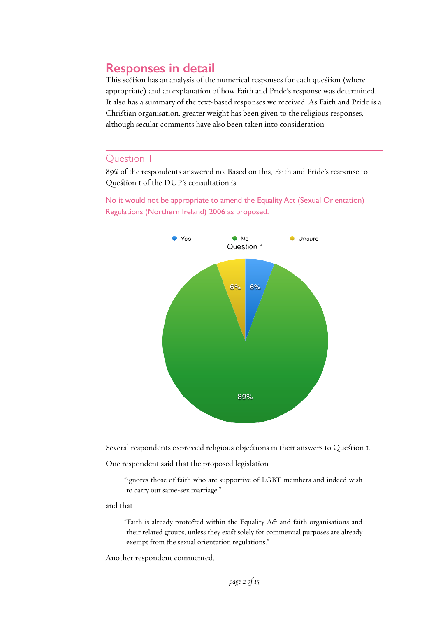# **Responses in detail**

This section has an analysis of the numerical responses for each question (where appropriate) and an explanation of how Faith and Pride's response was determined. It also has a summary of the text-based responses we received. As Faith and Pride is a Christian organisation, greater weight has been given to the religious responses, although secular comments have also been taken into consideration.

### Question 1

89% of the respondents answered no. Based on this, Faith and Pride's response to Question I of the DUP's consultation is

No it would not be appropriate to amend the Equality Act (Sexual Orientation) Regulations (Northern Ireland) 2006 as proposed.



Several respondents expressed religious objections in their answers to Question I.

One respondent said that the proposed legislation

"ignores those of faith who are supportive of LGBT members and indeed wish to carry out same-sex marriage."

and that

"Faith is already protected within the Equality Act and faith organisations and their related groups, unless they exist solely for commercial purposes are already exempt from the sexual orientation regulations."

Another respondent commented,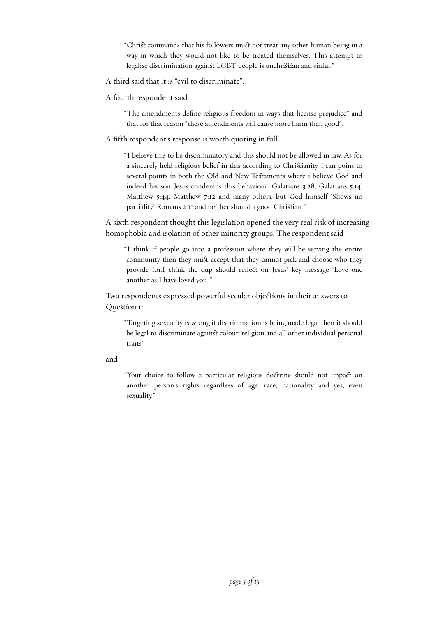"Christ commands that his followers must not treat any other human being in a way in which they would not like to be treated themselves. This attempt to legalise discrimination against LGBT people is unchristian and sinful."

A third said that it is "evil to discriminate".

A fourth respondent said

"The amendments define religious freedom in ways that license prejudice" and that for that reason "these amendments will cause more harm than good".

A fifth respondent's response is worth quoting in full:

"I believe this to be discriminatory and this should not be allowed in law. As for a sincerely held religious belief in this according to Chrisianity, i can point to several points in both the Old and New Testaments where i believe God and indeed his son Jesus condemns this behaviour: Galatians 3:28, Galatians 5:14, Matthew 5:44, Matthew 7:12 and many others, but God himself 'Shows no partiality' Romans 2:11 and neither should a good Christian."

A sixth respondent thought this legislation opened the very real risk of increasing homophobia and isolation of other minority groups. The respondent said

"I think if people go into a profession where they will be serving the entire community then they must accept that they cannot pick and choose who they provide for.I think the dup should reflect on Jesus' key message 'Love one another as I have loved you.'"

Two respondents expressed powerful secular objections in their answers to Question 1:

"Targeting sexuality is wrong if discrimination is being made legal then it should be legal to discriminate against colour, religion and all other individual personal traits"

#### and

"Your choice to follow a particular religious doctrine should not impact on another person's rights regardless of age, race, nationality and yes, even sexuality."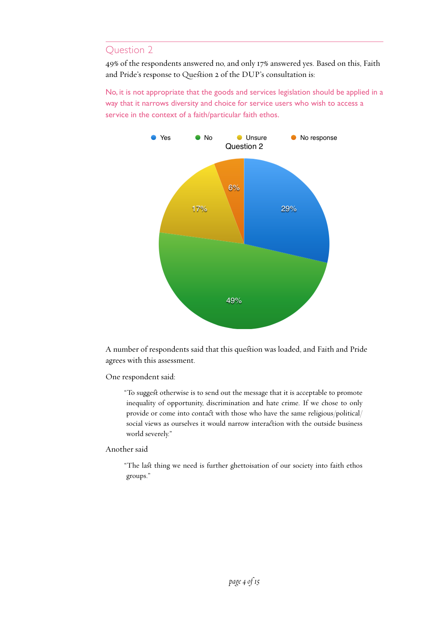49% of the respondents answered no, and only 17% answered yes. Based on this, Faith and Pride's response to Question 2 of the DUP's consultation is:

No, it is not appropriate that the goods and services legislation should be applied in a way that it narrows diversity and choice for service users who wish to access a service in the context of a faith/particular faith ethos.



A number of respondents said that this question was loaded, and Faith and Pride agrees with this assessment.

One respondent said:

"To suggest otherwise is to send out the message that it is acceptable to promote inequality of opportunity, discrimination and hate crime. If we chose to only provide or come into contact with those who have the same religious/political/ social views as ourselves it would narrow interaction with the outside business world severely."

Another said

"The last thing we need is further ghettoisation of our society into faith ethos groups."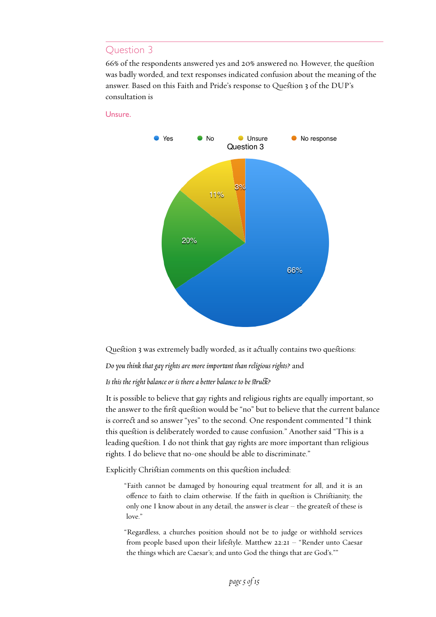66% of the respondents answered yes and 20% answered no. However, the quesion was badly worded, and text responses indicated confusion about the meaning of the answer. Based on this Faith and Pride's response to Question 3 of the DUP's consultation is

#### Unsure.



Question 3 was extremely badly worded, as it actually contains two questions:

*Do you think that gay rights are more importnt than religious rights?* and

#### *Is this the right balance or is there a betr balance to be suc?*

It is possible to believe that gay rights and religious rights are equally important, so the answer to the first question would be "no" but to believe that the current balance is correct and so answer "yes" to the second. One respondent commented "I think this question is deliberately worded to cause confusion." Another said "This is a leading question. I do not think that gay rights are more important than religious rights. I do believe that no-one should be able to discriminate."

Explicitly Christian comments on this question included:

"Faith cannot be damaged by honouring equal treatment for all, and it is an offence to faith to claim otherwise. If the faith in quesion is Chrisianity, the only one I know about in any detail, the answer is clear  $-$  the greatest of these is love."

"Regardless, a churches position should not be to judge or withhold services from people based upon their lifestyle. Matthew  $22:2I$  – "Render unto Caesar the things which are Caesar's; and unto God the things that are God's.""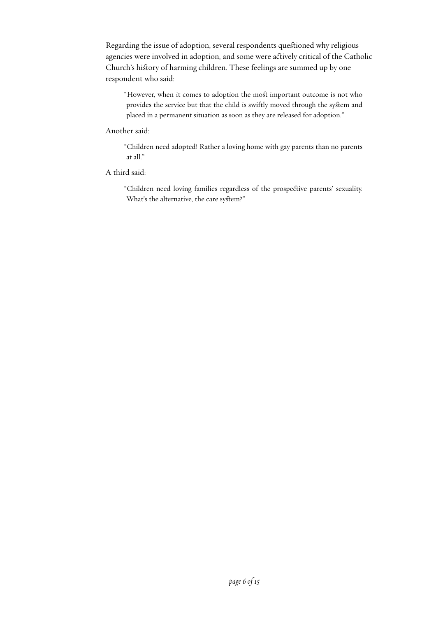Regarding the issue of adoption, several respondents questioned why religious agencies were involved in adoption, and some were acively critical of the Catholic Church's history of harming children. These feelings are summed up by one respondent who said:

"However, when it comes to adoption the most important outcome is not who provides the service but that the child is swiftly moved through the system and placed in a permanent situation as soon as they are released for adoption."

#### Another said:

"Children need adopted! Rather a loving home with gay parents than no parents at all."

A third said:

"Children need loving families regardless of the prospecive parents' sexuality. What's the alternative, the care system?"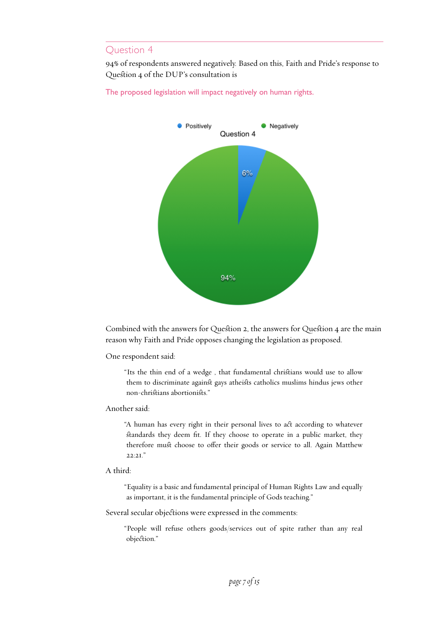94% of respondents answered negatively. Based on this, Faith and Pride's response to Question 4 of the DUP's consultation is





Combined with the answers for Question 2, the answers for Question 4 are the main reason why Faith and Pride opposes changing the legislation as proposed.

One respondent said:

"Its the thin end of a wedge , that fundamental chrisians would use to allow them to discriminate against gays atheists catholics muslims hindus jews other non-chrisians abortioniss."

#### Another said:

"A human has every right in their personal lives to act according to whatever standards they deem fit. If they choose to operate in a public market, they therefore must choose to offer their goods or service to all. Again Matthew 22:21."

#### A third:

"Equality is a basic and fundamental principal of Human Rights Law and equally as important, it is the fundamental principle of Gods teaching."

Several secular objections were expressed in the comments:

"People will refuse others goods/services out of spite rather than any real objection."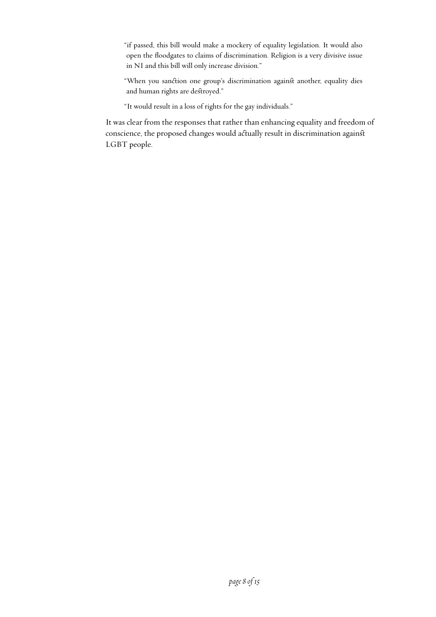"if passed, this bill would make a mockery of equality legislation. It would also open the floodgates to claims of discrimination. Religion is a very divisive issue in NI and this bill will only increase division."

"When you sanction one group's discrimination against another, equality dies and human rights are destroyed."

"It would result in a loss of rights for the gay individuals."

It was clear from the responses that rather than enhancing equality and freedom of conscience, the proposed changes would actually result in discrimination against LGBT people.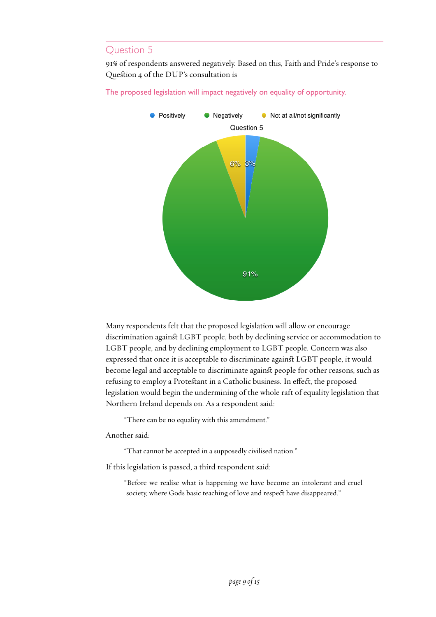91% of respondents answered negatively. Based on this, Faith and Pride's response to Question 4 of the DUP's consultation is

The proposed legislation will impact negatively on equality of opportunity.



Many respondents felt that the proposed legislation will allow or encourage discrimination against LGBT people, both by declining service or accommodation to LGBT people, and by declining employment to LGBT people. Concern was also expressed that once it is acceptable to discriminate agains LGBT people, it would become legal and acceptable to discriminate against people for other reasons, such as refusing to employ a Protestant in a Catholic business. In effect, the proposed legislation would begin the undermining of the whole raft of equality legislation that Northern Ireland depends on. As a respondent said:

"There can be no equality with this amendment."

Another said:

"That cannot be accepted in a supposedly civilised nation."

If this legislation is passed, a third respondent said:

"Before we realise what is happening we have become an intolerant and cruel society, where Gods basic teaching of love and respect have disappeared."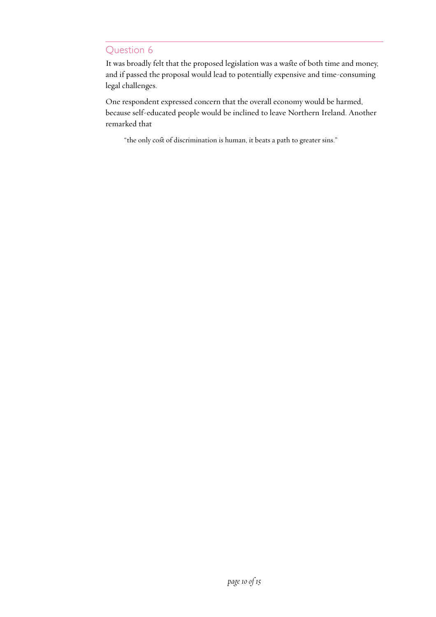It was broadly felt that the proposed legislation was a waste of both time and money, and if passed the proposal would lead to potentially expensive and time-consuming legal challenges.

One respondent expressed concern that the overall economy would be harmed, because self-educated people would be inclined to leave Northern Ireland. Another remarked that

"the only cost of discrimination is human, it beats a path to greater sins."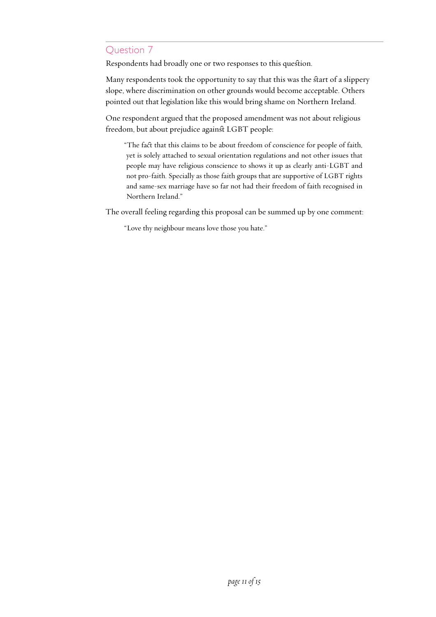Respondents had broadly one or two responses to this question.

Many respondents took the opportunity to say that this was the start of a slippery slope, where discrimination on other grounds would become acceptable. Others pointed out that legislation like this would bring shame on Northern Ireland.

One respondent argued that the proposed amendment was not about religious freedom, but about prejudice against LGBT people:

"The fact that this claims to be about freedom of conscience for people of faith, yet is solely attached to sexual orientation regulations and not other issues that people may have religious conscience to shows it up as clearly anti-LGBT and not pro-faith. Specially as those faith groups that are supportive of LGBT rights and same-sex marriage have so far not had their freedom of faith recognised in Northern Ireland."

The overall feeling regarding this proposal can be summed up by one comment:

"Love thy neighbour means love those you hate."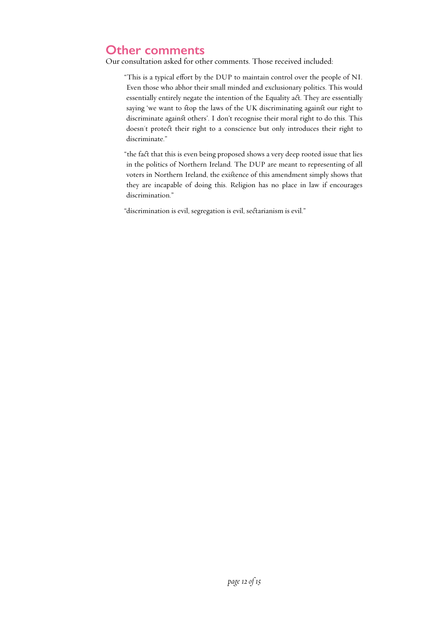# **Other comments**

Our consultation asked for other comments. Those received included:

"This is a typical effort by the DUP to maintain control over the people of NI. Even those who abhor their small minded and exclusionary politics. This would essentially entirely negate the intention of the Equality act. They are essentially saying 'we want to stop the laws of the UK discriminating against our right to discriminate against others'. I don't recognise their moral right to do this. This doesn't protect their right to a conscience but only introduces their right to discriminate."

"the fact that this is even being proposed shows a very deep rooted issue that lies in the politics of Northern Ireland. The DUP are meant to representing of all voters in Northern Ireland, the exisence of this amendment simply shows that they are incapable of doing this. Religion has no place in law if encourages discrimination."

"discrimination is evil, segregation is evil, sectarianism is evil."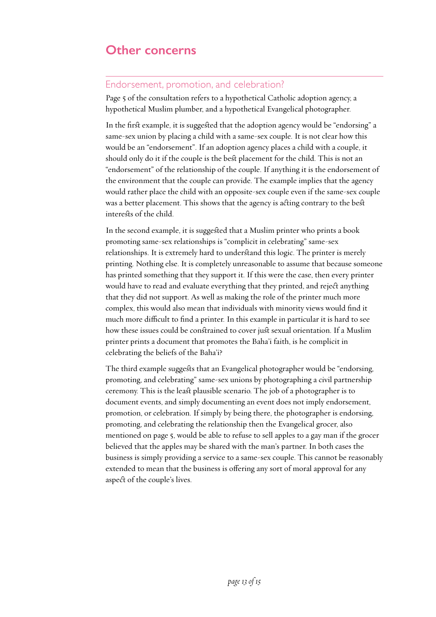# **Other concerns**

### Endorsement, promotion, and celebration?

Page 5 of the consultation refers to a hypothetical Catholic adoption agency, a hypothetical Muslim plumber, and a hypothetical Evangelical photographer.

In the first example, it is suggested that the adoption agency would be "endorsing" a same-sex union by placing a child with a same-sex couple. It is not clear how this would be an "endorsement". If an adoption agency places a child with a couple, it should only do it if the couple is the best placement for the child. This is not an "endorsement" of the relationship of the couple. If anything it is the endorsement of the environment that the couple can provide. The example implies that the agency would rather place the child with an opposite-sex couple even if the same-sex couple was a better placement. This shows that the agency is acting contrary to the best interests of the child.

In the second example, it is suggested that a Muslim printer who prints a book promoting same-sex relationships is "complicit in celebrating" same-sex relationships. It is extremely hard to understand this logic. The printer is merely printing. Nothing else. It is completely unreasonable to assume that because someone has printed something that they support it. If this were the case, then every printer would have to read and evaluate everything that they printed, and reject anything that they did not support. As well as making the role of the printer much more complex, this would also mean that individuals with minority views would find it much more difficult to find a printer. In this example in particular it is hard to see how these issues could be constrained to cover just sexual orientation. If a Muslim printer prints a document that promotes the Baha'i faith, is he complicit in celebrating the beliefs of the Baha'i?

The third example suggests that an Evangelical photographer would be "endorsing, promoting, and celebrating" same-sex unions by photographing a civil partnership ceremony. This is the least plausible scenario. The job of a photographer is to document events, and simply documenting an event does not imply endorsement, promotion, or celebration. If simply by being there, the photographer is endorsing, promoting, and celebrating the relationship then the Evangelical grocer, also mentioned on page 5, would be able to refuse to sell apples to a gay man if the grocer believed that the apples may be shared with the man's partner. In both cases the business is simply providing a service to a same-sex couple. This cannot be reasonably extended to mean that the business is offering any sort of moral approval for any aspect of the couple's lives.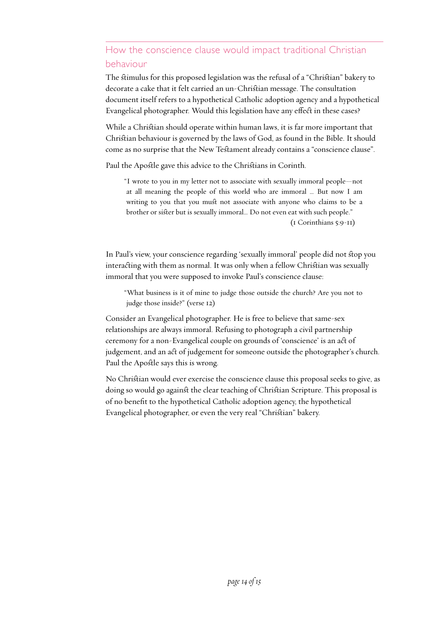# How the conscience clause would impact traditional Christian behaviour

The stimulus for this proposed legislation was the refusal of a "Christian" bakery to decorate a cake that it felt carried an un-Chrisian message. The consultation document itself refers to a hypothetical Catholic adoption agency and a hypothetical Evangelical photographer. Would this legislation have any effect in these cases?

While a Christian should operate within human laws, it is far more important that Chrisian behaviour is governed by the laws of God, as found in the Bible. It should come as no surprise that the New Testament already contains a "conscience clause".

Paul the Apostle gave this advice to the Christians in Corinth.

"I wrote to you in my letter not to associate with sexually immoral people—not at all meaning the people of this world who are immoral … But now I am writing to you that you must not associate with anyone who claims to be a brother or sister but is sexually immoral... Do not even eat with such people." (1 Corinthians 5:9-11)

In Paul's view, your conscience regarding 'sexually immoral' people did not stop you interacting with them as normal. It was only when a fellow Christian was sexually immoral that you were supposed to invoke Paul's conscience clause:

"What business is it of mine to judge those outside the church? Are you not to judge those inside?" (verse 12)

Consider an Evangelical photographer. He is free to believe that same-sex relationships are always immoral. Refusing to photograph a civil partnership ceremony for a non-Evangelical couple on grounds of 'conscience' is an act of judgement, and an act of judgement for someone outside the photographer's church. Paul the Apostle says this is wrong.

No Chrisian would ever exercise the conscience clause this proposal seeks to give, as doing so would go against the clear teaching of Christian Scripture. This proposal is of no benefit to the hypothetical Catholic adoption agency, the hypothetical Evangelical photographer, or even the very real "Chrisian" bakery.